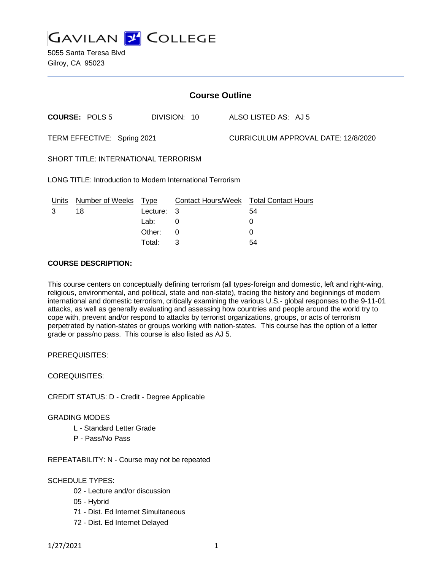

5055 Santa Teresa Blvd Gilroy, CA 95023

| <b>Course Outline</b>                                             |                        |             |                           |  |                                     |  |  |
|-------------------------------------------------------------------|------------------------|-------------|---------------------------|--|-------------------------------------|--|--|
|                                                                   | <b>COURSE: POLS 5</b>  |             | DIVISION: 10              |  | ALSO LISTED AS: AJ 5                |  |  |
| TERM EFFECTIVE: Spring 2021                                       |                        |             |                           |  | CURRICULUM APPROVAL DATE: 12/8/2020 |  |  |
| <b>SHORT TITLE: INTERNATIONAL TERRORISM</b>                       |                        |             |                           |  |                                     |  |  |
| <b>LONG TITLE: Introduction to Modern International Terrorism</b> |                        |             |                           |  |                                     |  |  |
| <u>Units</u>                                                      | <b>Number of Weeks</b> | <u>Type</u> | <b>Contact Hours/Week</b> |  | <b>Total Contact Hours</b>          |  |  |
| 3                                                                 | 18                     | Lecture:    | 3                         |  | 54                                  |  |  |
|                                                                   |                        | Lab:        | 0                         |  | 0                                   |  |  |
|                                                                   |                        | Other:      | $\Omega$                  |  | 0                                   |  |  |
|                                                                   |                        | Total:      | 3                         |  | 54                                  |  |  |

### **COURSE DESCRIPTION:**

This course centers on conceptually defining terrorism (all types-foreign and domestic, left and right-wing, religious, environmental, and political, state and non-state), tracing the history and beginnings of modern international and domestic terrorism, critically examining the various U.S.- global responses to the 9-11-01 attacks, as well as generally evaluating and assessing how countries and people around the world try to cope with, prevent and/or respond to attacks by terrorist organizations, groups, or acts of terrorism perpetrated by nation-states or groups working with nation-states. This course has the option of a letter grade or pass/no pass. This course is also listed as AJ 5.

PREREQUISITES:

COREQUISITES:

CREDIT STATUS: D - Credit - Degree Applicable

GRADING MODES

- L Standard Letter Grade
- P Pass/No Pass

REPEATABILITY: N - Course may not be repeated

### SCHEDULE TYPES:

- 02 Lecture and/or discussion
- 05 Hybrid
- 71 Dist. Ed Internet Simultaneous
- 72 Dist. Ed Internet Delayed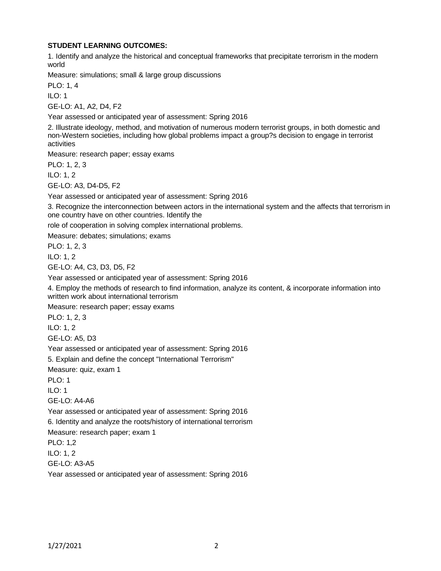## **STUDENT LEARNING OUTCOMES:**

1. Identify and analyze the historical and conceptual frameworks that precipitate terrorism in the modern world

Measure: simulations; small & large group discussions

PLO: 1, 4

ILO: 1

GE-LO: A1, A2, D4, F2

Year assessed or anticipated year of assessment: Spring 2016

2. Illustrate ideology, method, and motivation of numerous modern terrorist groups, in both domestic and non-Western societies, including how global problems impact a group?s decision to engage in terrorist activities

Measure: research paper; essay exams

PLO: 1, 2, 3 ILO: 1, 2

GE-LO: A3, D4-D5, F2

Year assessed or anticipated year of assessment: Spring 2016

3. Recognize the interconnection between actors in the international system and the affects that terrorism in one country have on other countries. Identify the

role of cooperation in solving complex international problems.

Measure: debates; simulations; exams

PLO: 1, 2, 3

ILO: 1, 2

GE-LO: A4, C3, D3, D5, F2

Year assessed or anticipated year of assessment: Spring 2016

4. Employ the methods of research to find information, analyze its content, & incorporate information into written work about international terrorism

Measure: research paper; essay exams

PLO: 1, 2, 3

ILO: 1, 2

GE-LO: A5, D3

Year assessed or anticipated year of assessment: Spring 2016

5. Explain and define the concept "International Terrorism"

Measure: quiz, exam 1

PLO: 1

 $ILO: 1$ 

GE-LO: A4-A6

Year assessed or anticipated year of assessment: Spring 2016

6. Identity and analyze the roots/history of international terrorism

Measure: research paper; exam 1

PLO: 1,2

ILO: 1, 2

GE-LO: A3-A5

Year assessed or anticipated year of assessment: Spring 2016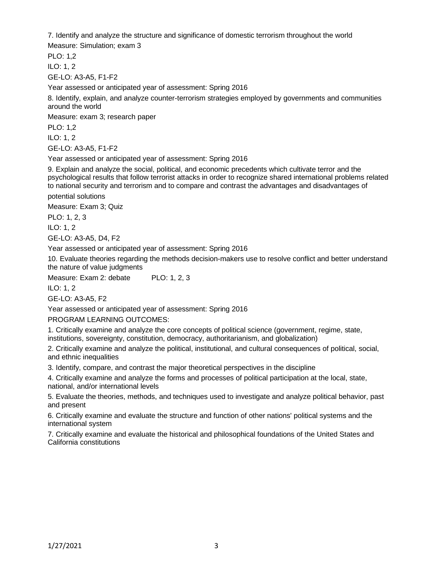7. Identify and analyze the structure and significance of domestic terrorism throughout the world

Measure: Simulation; exam 3

PLO: 1,2 ILO: 1, 2

GE-LO: A3-A5, F1-F2

Year assessed or anticipated year of assessment: Spring 2016

8. Identify, explain, and analyze counter-terrorism strategies employed by governments and communities around the world

Measure: exam 3; research paper

PLO: 1,2

ILO: 1, 2

GE-LO: A3-A5, F1-F2

Year assessed or anticipated year of assessment: Spring 2016

9. Explain and analyze the social, political, and economic precedents which cultivate terror and the psychological results that follow terrorist attacks in order to recognize shared international problems related to national security and terrorism and to compare and contrast the advantages and disadvantages of

potential solutions

Measure: Exam 3; Quiz

PLO: 1, 2, 3

ILO: 1, 2

GE-LO: A3-A5, D4, F2

Year assessed or anticipated year of assessment: Spring 2016

10. Evaluate theories regarding the methods decision-makers use to resolve conflict and better understand the nature of value judgments

Measure: Exam 2: debate PLO: 1, 2, 3

ILO: 1, 2

GE-LO: A3-A5, F2

Year assessed or anticipated year of assessment: Spring 2016

PROGRAM LEARNING OUTCOMES:

1. Critically examine and analyze the core concepts of political science (government, regime, state, institutions, sovereignty, constitution, democracy, authoritarianism, and globalization)

2. Critically examine and analyze the political, institutional, and cultural consequences of political, social, and ethnic inequalities

3. Identify, compare, and contrast the major theoretical perspectives in the discipline

4. Critically examine and analyze the forms and processes of political participation at the local, state, national, and/or international levels

5. Evaluate the theories, methods, and techniques used to investigate and analyze political behavior, past and present

6. Critically examine and evaluate the structure and function of other nations' political systems and the international system

7. Critically examine and evaluate the historical and philosophical foundations of the United States and California constitutions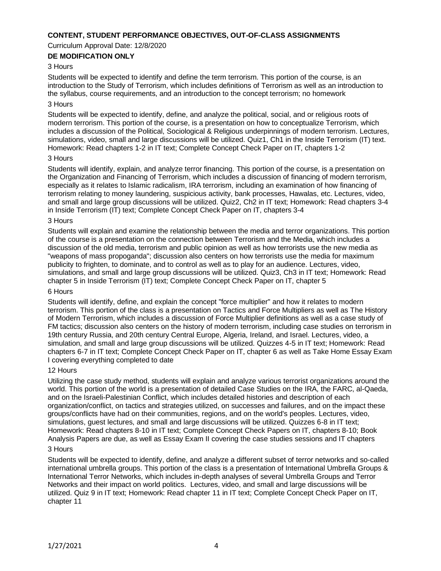### **CONTENT, STUDENT PERFORMANCE OBJECTIVES, OUT-OF-CLASS ASSIGNMENTS**

Curriculum Approval Date: 12/8/2020

# **DE MODIFICATION ONLY**

### 3 Hours

Students will be expected to identify and define the term terrorism. This portion of the course, is an introduction to the Study of Terrorism, which includes definitions of Terrorism as well as an introduction to the syllabus, course requirements, and an introduction to the concept terrorism; no homework

#### 3 Hours

Students will be expected to identify, define, and analyze the political, social, and or religious roots of modern terrorism. This portion of the course, is a presentation on how to conceptualize Terrorism, which includes a discussion of the Political, Sociological & Religious underpinnings of modern terrorism. Lectures, simulations, video, small and large discussions will be utilized. Quiz1, Ch1 in the Inside Terrorism (IT) text. Homework: Read chapters 1-2 in IT text; Complete Concept Check Paper on IT, chapters 1-2

#### 3 Hours

Students will identify, explain, and analyze terror financing. This portion of the course, is a presentation on the Organization and Financing of Terrorism, which includes a discussion of financing of modern terrorism, especially as it relates to Islamic radicalism, IRA terrorism, including an examination of how financing of terrorism relating to money laundering, suspicious activity, bank processes, Hawalas, etc. Lectures, video, and small and large group discussions will be utilized. Quiz2, Ch2 in IT text; Homework: Read chapters 3-4 in Inside Terrorism (IT) text; Complete Concept Check Paper on IT, chapters 3-4

#### 3 Hours

Students will explain and examine the relationship between the media and terror organizations. This portion of the course is a presentation on the connection between Terrorism and the Media, which includes a discussion of the old media, terrorism and public opinion as well as how terrorists use the new media as "weapons of mass propoganda"; discussion also centers on how terrorists use the media for maximum publicity to frighten, to dominate, and to control as well as to play for an audience. Lectures, video, simulations, and small and large group discussions will be utilized. Quiz3, Ch3 in IT text; Homework: Read chapter 5 in Inside Terrorism (IT) text; Complete Concept Check Paper on IT, chapter 5

#### 6 Hours

Students will identify, define, and explain the concept "force multiplier" and how it relates to modern terrorism. This portion of the class is a presentation on Tactics and Force Multipliers as well as The History of Modern Terrorism, which includes a discussion of Force Multiplier definitions as well as a case study of FM tactics; discussion also centers on the history of modern terrorism, including case studies on terrorism in 19th century Russia, and 20th century Central Europe, Algeria, Ireland, and Israel. Lectures, video, a simulation, and small and large group discussions will be utilized. Quizzes 4-5 in IT text; Homework: Read chapters 6-7 in IT text; Complete Concept Check Paper on IT, chapter 6 as well as Take Home Essay Exam I covering everything completed to date

#### 12 Hours

Utilizing the case study method, students will explain and analyze various terrorist organizations around the world. This portion of the world is a presentation of detailed Case Studies on the IRA, the FARC, al-Qaeda, and on the Israeli-Palestinian Conflict, which includes detailed histories and description of each organization/conflict, on tactics and strategies utilized, on successes and failures, and on the impact these groups/conflicts have had on their communities, regions, and on the world's peoples. Lectures, video, simulations, guest lectures, and small and large discussions will be utilized. Quizzes 6-8 in IT text; Homework: Read chapters 8-10 in IT text; Complete Concept Check Papers on IT, chapters 8-10; Book Analysis Papers are due, as well as Essay Exam II covering the case studies sessions and IT chapters

### 3 Hours

Students will be expected to identify, define, and analyze a different subset of terror networks and so-called international umbrella groups. This portion of the class is a presentation of International Umbrella Groups & International Terror Networks, which includes in-depth analyses of several Umbrella Groups and Terror Networks and their impact on world politics. Lectures, video, and small and large discussions will be utilized. Quiz 9 in IT text; Homework: Read chapter 11 in IT text; Complete Concept Check Paper on IT, chapter 11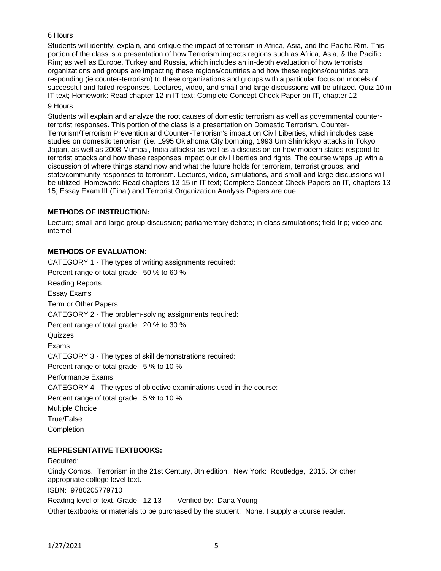## 6 Hours

Students will identify, explain, and critique the impact of terrorism in Africa, Asia, and the Pacific Rim. This portion of the class is a presentation of how Terrorism impacts regions such as Africa, Asia, & the Pacific Rim; as well as Europe, Turkey and Russia, which includes an in-depth evaluation of how terrorists organizations and groups are impacting these regions/countries and how these regions/countries are responding (ie counter-terrorism) to these organizations and groups with a particular focus on models of successful and failed responses. Lectures, video, and small and large discussions will be utilized. Quiz 10 in IT text; Homework: Read chapter 12 in IT text; Complete Concept Check Paper on IT, chapter 12 9 Hours

Students will explain and analyze the root causes of domestic terrorism as well as governmental counterterrorist responses. This portion of the class is a presentation on Domestic Terrorism, Counter-Terrorism/Terrorism Prevention and Counter-Terrorism's impact on Civil Liberties, which includes case studies on domestic terrorism (i.e. 1995 Oklahoma City bombing, 1993 Um Shinrickyo attacks in Tokyo, Japan, as well as 2008 Mumbai, India attacks) as well as a discussion on how modern states respond to terrorist attacks and how these responses impact our civil liberties and rights. The course wraps up with a discussion of where things stand now and what the future holds for terrorism, terrorist groups, and state/community responses to terrorism. Lectures, video, simulations, and small and large discussions will be utilized. Homework: Read chapters 13-15 in IT text; Complete Concept Check Papers on IT, chapters 13- 15; Essay Exam III (Final) and Terrorist Organization Analysis Papers are due

## **METHODS OF INSTRUCTION:**

Lecture; small and large group discussion; parliamentary debate; in class simulations; field trip; video and internet

### **METHODS OF EVALUATION:**

CATEGORY 1 - The types of writing assignments required: Percent range of total grade: 50 % to 60 % Reading Reports Essay Exams Term or Other Papers CATEGORY 2 - The problem-solving assignments required: Percent range of total grade: 20 % to 30 % **Quizzes** Exams CATEGORY 3 - The types of skill demonstrations required: Percent range of total grade: 5 % to 10 % Performance Exams CATEGORY 4 - The types of objective examinations used in the course: Percent range of total grade: 5 % to 10 % Multiple Choice True/False **Completion** 

#### **REPRESENTATIVE TEXTBOOKS:**

Required: Cindy Combs. Terrorism in the 21st Century, 8th edition. New York: Routledge, 2015. Or other appropriate college level text. ISBN: 9780205779710 Reading level of text, Grade: 12-13 Verified by: Dana Young Other textbooks or materials to be purchased by the student: None. I supply a course reader.